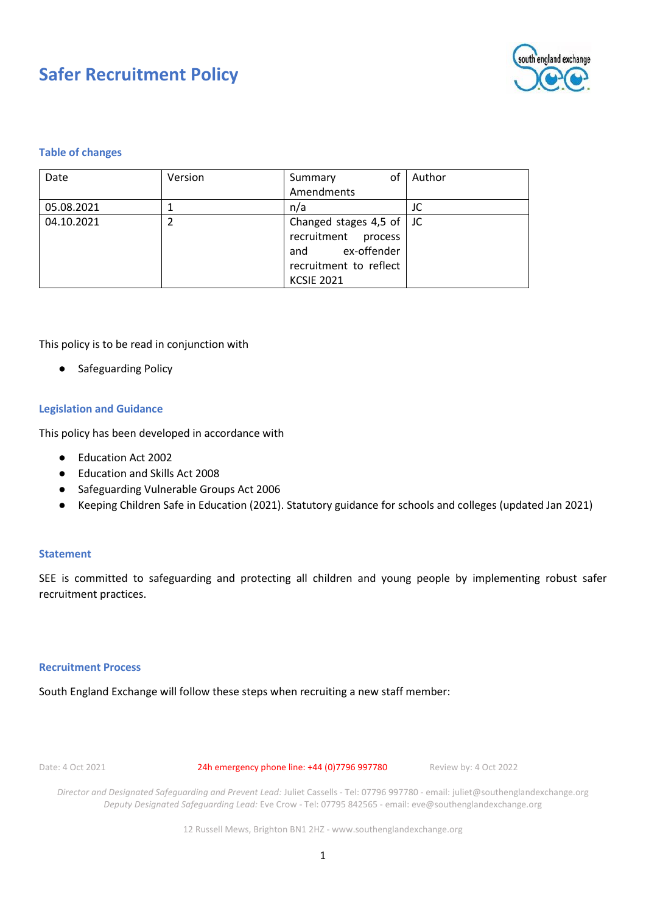

# **Table of changes**

| Date       | Version | οf<br>Summary                    | Author |
|------------|---------|----------------------------------|--------|
|            |         | Amendments                       |        |
| 05.08.2021 |         | n/a                              | JC     |
| 04.10.2021 |         | Changed stages 4,5 of $\vert$ JC |        |
|            |         | recruitment process              |        |
|            |         | ex-offender<br>and               |        |
|            |         | recruitment to reflect           |        |
|            |         | <b>KCSIE 2021</b>                |        |

This policy is to be read in conjunction with

Safeguarding Policy

# **Legislation and Guidance**

This policy has been developed in accordance with

- Education Act 2002
- Education and Skills Act 2008
- Safeguarding Vulnerable Groups Act 2006
- Keeping Children Safe in Education (2021). Statutory guidance for schools and colleges (updated Jan 2021)

#### **Statement**

SEE is committed to safeguarding and protecting all children and young people by implementing robust safer recruitment practices.

#### **Recruitment Process**

South England Exchange will follow these steps when recruiting a new staff member:

Date: 4 Oct 2021 24h emergency phone line: +44 (0)7796 997780 Review by: 4 Oct 2022

*Director and Designated Safeguarding and Prevent Lead:* Juliet Cassells - Tel: 07796 997780 - email: juliet@southenglandexchange.org *Deputy Designated Safeguarding Lead:* Eve Crow - Tel: 07795 842565 - email: eve@southenglandexchange.org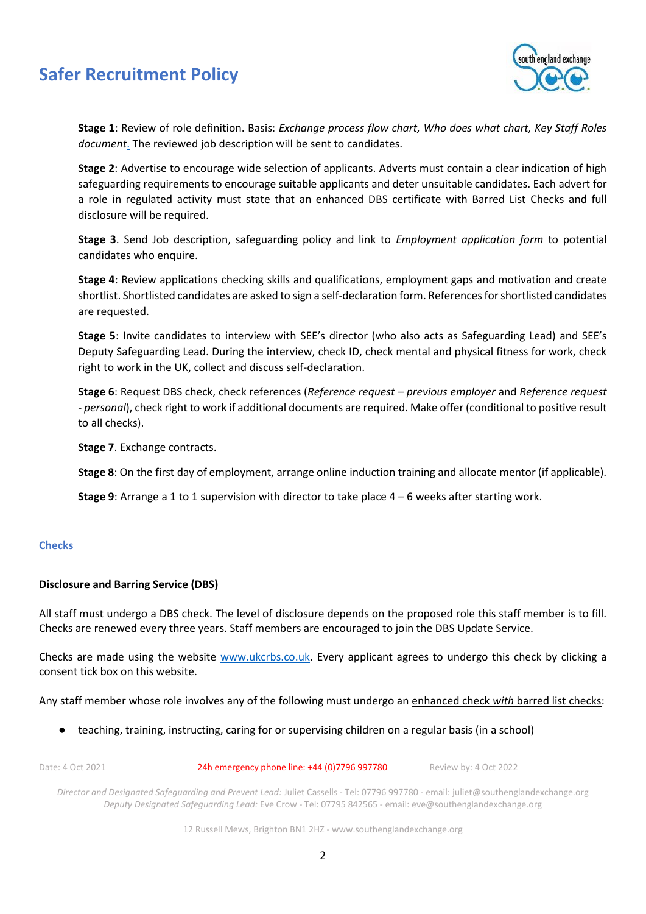

**Stage 1**: Review of role definition. Basis: *Exchange process flow chart, Who does what chart, Key Staff Roles document*. The reviewed job description will be sent to candidates.

**Stage 2**: Advertise to encourage wide selection of applicants. Adverts must contain a clear indication of high safeguarding requirements to encourage suitable applicants and deter unsuitable candidates. Each advert for a role in regulated activity must state that an enhanced DBS certificate with Barred List Checks and full disclosure will be required.

**Stage 3**. Send Job description, safeguarding policy and link to *Employment application form* to potential candidates who enquire.

**Stage 4**: Review applications checking skills and qualifications, employment gaps and motivation and create shortlist. Shortlisted candidates are asked to sign a self-declaration form. References for shortlisted candidates are requested.

**Stage 5**: Invite candidates to interview with SEE's director (who also acts as Safeguarding Lead) and SEE's Deputy Safeguarding Lead. During the interview, check ID, check mental and physical fitness for work, check right to work in the UK, collect and discuss self-declaration.

**Stage 6**: Request DBS check, check references (*Reference request – previous employer* and *Reference request - personal*), check right to work if additional documents are required. Make offer (conditional to positive result to all checks).

**Stage 7**. Exchange contracts.

**Stage 8**: On the first day of employment, arrange online induction training and allocate mentor (if applicable).

**Stage 9**: Arrange a 1 to 1 supervision with director to take place 4 – 6 weeks after starting work.

# **Checks**

# **Disclosure and Barring Service (DBS)**

All staff must undergo a DBS check. The level of disclosure depends on the proposed role this staff member is to fill. Checks are renewed every three years. Staff members are encouraged to join the DBS Update Service.

Checks are made using the website [www.ukcrbs.co.uk.](http://www.ukcrbs.co.uk/) Every applicant agrees to undergo this check by clicking a consent tick box on this website.

Any staff member whose role involves any of the following must undergo an enhanced check *with* barred list checks:

● teaching, training, instructing, caring for or supervising children on a regular basis (in a school)

Date: 4 Oct 2021 24h emergency phone line: +44 (0)7796 997780 Review by: 4 Oct 2022 *Director and Designated Safeguarding and Prevent Lead:* Juliet Cassells - Tel: 07796 997780 - email: juliet@southenglandexchange.org *Deputy Designated Safeguarding Lead:* Eve Crow - Tel: 07795 842565 - email: eve@southenglandexchange.org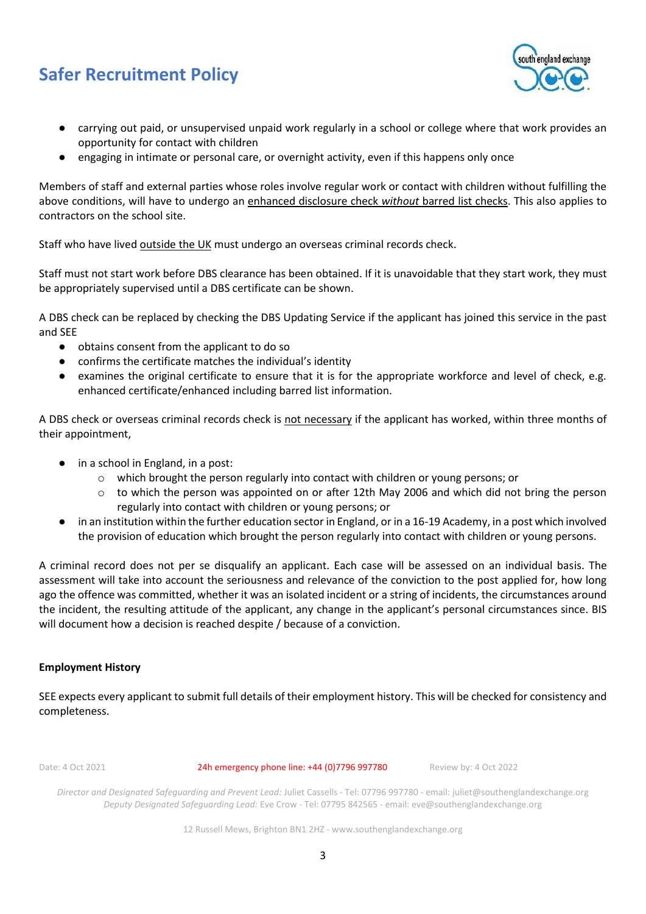

- carrying out paid, or unsupervised unpaid work regularly in a school or college where that work provides an opportunity for contact with children
- engaging in intimate or personal care, or overnight activity, even if this happens only once

Members of staff and external parties whose roles involve regular work or contact with children without fulfilling the above conditions, will have to undergo an enhanced disclosure check *without* barred list checks. This also applies to contractors on the school site.

Staff who have lived outside the UK must undergo an overseas criminal records check.

Staff must not start work before DBS clearance has been obtained. If it is unavoidable that they start work, they must be appropriately supervised until a DBS certificate can be shown.

A DBS check can be replaced by checking the DBS Updating Service if the applicant has joined this service in the past and SEE

- obtains consent from the applicant to do so
- confirms the certificate matches the individual's identity
- examines the original certificate to ensure that it is for the appropriate workforce and level of check, e.g. enhanced certificate/enhanced including barred list information.

A DBS check or overseas criminal records check is not necessary if the applicant has worked, within three months of their appointment,

- in a school in England, in a post:
	- o which brought the person regularly into contact with children or young persons; or
	- $\circ$  to which the person was appointed on or after 12th May 2006 and which did not bring the person regularly into contact with children or young persons; or
- in an institution within the further education sector in England, or in a 16-19 Academy, in a post which involved the provision of education which brought the person regularly into contact with children or young persons.

A criminal record does not per se disqualify an applicant. Each case will be assessed on an individual basis. The assessment will take into account the seriousness and relevance of the conviction to the post applied for, how long ago the offence was committed, whether it was an isolated incident or a string of incidents, the circumstances around the incident, the resulting attitude of the applicant, any change in the applicant's personal circumstances since. BIS will document how a decision is reached despite / because of a conviction.

# **Employment History**

SEE expects every applicant to submit full details of their employment history. This will be checked for consistency and completeness.

Date: 4 Oct 2021 24h emergency phone line: +44 (0)7796 997780 Review by: 4 Oct 2022

*Director and Designated Safeguarding and Prevent Lead:* Juliet Cassells - Tel: 07796 997780 - email: juliet@southenglandexchange.org *Deputy Designated Safeguarding Lead:* Eve Crow - Tel: 07795 842565 - email: eve@southenglandexchange.org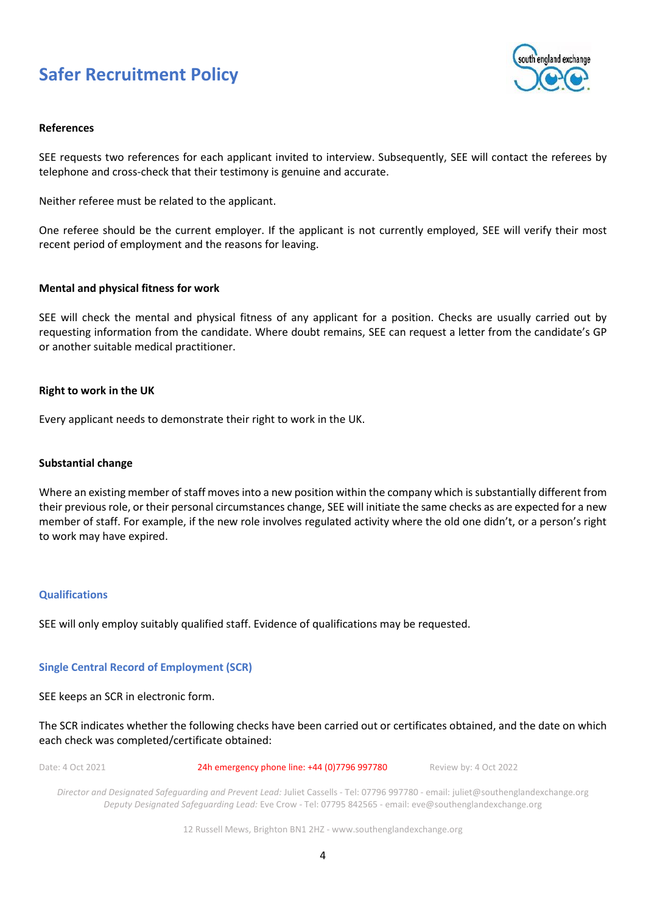

### **References**

SEE requests two references for each applicant invited to interview. Subsequently, SEE will contact the referees by telephone and cross-check that their testimony is genuine and accurate.

Neither referee must be related to the applicant.

One referee should be the current employer. If the applicant is not currently employed, SEE will verify their most recent period of employment and the reasons for leaving.

### **Mental and physical fitness for work**

SEE will check the mental and physical fitness of any applicant for a position. Checks are usually carried out by requesting information from the candidate. Where doubt remains, SEE can request a letter from the candidate's GP or another suitable medical practitioner.

### **Right to work in the UK**

Every applicant needs to demonstrate their right to work in the UK.

#### **Substantial change**

Where an existing member of staff moves into a new position within the company which is substantially different from their previous role, or their personal circumstances change, SEE will initiate the same checks as are expected for a new member of staff. For example, if the new role involves regulated activity where the old one didn't, or a person's right to work may have expired.

#### **Qualifications**

SEE will only employ suitably qualified staff. Evidence of qualifications may be requested.

# **Single Central Record of Employment (SCR)**

SEE keeps an SCR in electronic form.

The SCR indicates whether the following checks have been carried out or certificates obtained, and the date on which each check was completed/certificate obtained:

| Date: 4 Oct 2021 | 24h emergency phone line: +44 (0)7796 997780                                                                                        | Review by: 4 Oct 2022 |
|------------------|-------------------------------------------------------------------------------------------------------------------------------------|-----------------------|
|                  | Director and Designated Safequarding and Prevent Lead: Juliet Cassells - Tel: 07796 997780 - email: juliet@southenglandexchange org |                       |

*Director and Designated Safeguarding and Prevent Lead:* Juliet Cassells - Tel: 07796 997780 - email: juliet@southenglandexchange.org *Deputy Designated Safeguarding Lead:* Eve Crow - Tel: 07795 842565 - email: eve@southenglandexchange.org